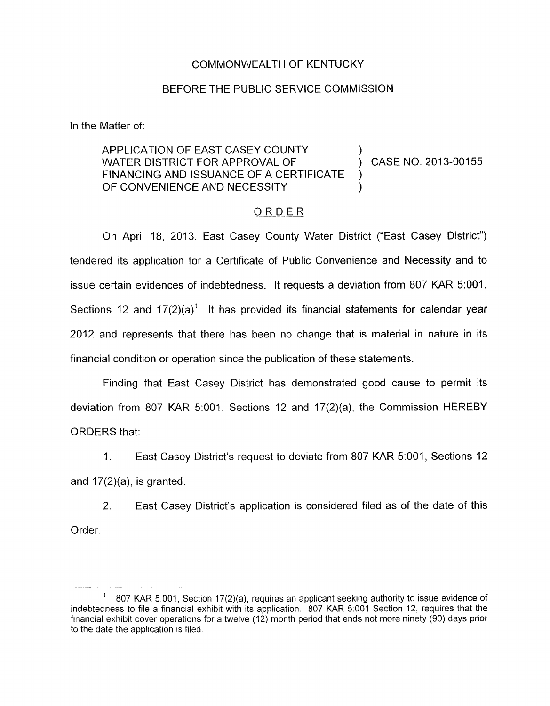## COMMONWEALTH OF KENTUCKY

## BEFORE THE PUBLIC SERVICE COMMISSION

In the Matter of:

## APPLICATION OF EAST CASEY COUNTY WATER DISTRICT FOR APPROVAL OF  $\overrightarrow{)}$  CASE NO. 2013-00155 FINANCING AND ISSUANCE OF A CERTIFICATE  $\overline{)}$ ) OF CONVENIENCE AND NECESSITY

## ORDER

On April 18, 2013, East Casey County Water District ("East Casey District") tendered its application for a Certificate of Public Convenience and Necessity and to issue certain evidences of indebtedness. It requests a deviation from 807 KAR 5:001, Sections 12 and  $17(2)(a)^1$  It has provided its financial statements for calendar year 2012 and represents that there has been no change that is material in nature in its financial condition or operation since the publication of these statements.

Finding that East Casey District has demonstrated good cause to permit its deviation from 807 KAR 5:001, Sections 12 and 17(2)(a), the Commission HEREBY ORDERS that:

1. East Casey District's request to deviate from 807 KAR 5:001, Sections 12 and  $17(2)(a)$ , is granted.

2. East Casey District's application is considered filed as of the date of this Order.

<sup>807</sup> KAR 5.001, Section 17(2)(a), requires an applicant seeking authority to issue evidence of indebtedness to file a financial exhibit with its application. 807 KAR 5.001 Section 12, requires that the financial exhibit cover operations for a twelve (12) month period that ends not more ninety (90) days prior to the date the application is filed **1**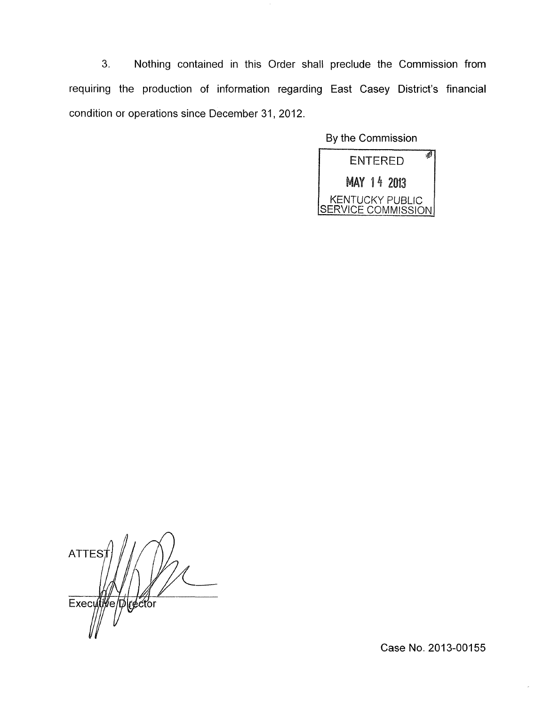3. Nothing contained in this Order shall preclude the Commission from requiring the production of information regarding East Casey District's financial condition or operations since December 31, 2012.

By the Commission



**ATTES** Executive Director

Case No. 2013-00155